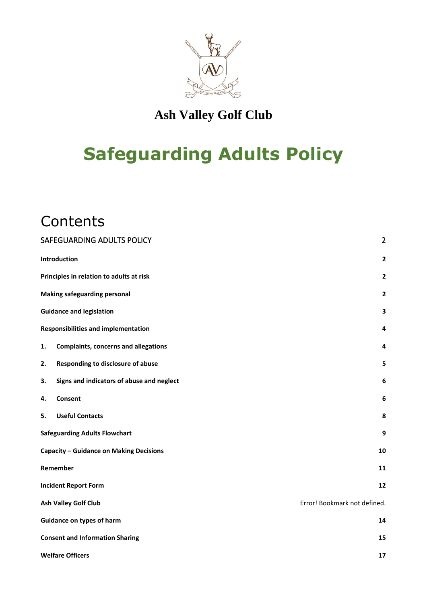

## **Ash Valley Golf Club**

# **Safeguarding Adults Policy**

## **Contents**

| SAFEGUARDING ADULTS POLICY                        | $\overline{2}$               |
|---------------------------------------------------|------------------------------|
| Introduction                                      | $\overline{\mathbf{2}}$      |
| Principles in relation to adults at risk          | $\overline{\mathbf{2}}$      |
| <b>Making safeguarding personal</b>               | $\overline{2}$               |
| <b>Guidance and legislation</b>                   | 3                            |
| <b>Responsibilities and implementation</b>        | 4                            |
| <b>Complaints, concerns and allegations</b><br>1. | 4                            |
| Responding to disclosure of abuse<br>2.           | 5                            |
| Signs and indicators of abuse and neglect<br>3.   | 6                            |
| Consent<br>4.                                     | 6                            |
| <b>Useful Contacts</b><br>5.                      | 8                            |
| <b>Safeguarding Adults Flowchart</b>              | 9                            |
| <b>Capacity - Guidance on Making Decisions</b>    | 10                           |
| Remember                                          | 11                           |
| <b>Incident Report Form</b>                       | 12                           |
| Ash Valley Golf Club                              | Error! Bookmark not defined. |
| <b>Guidance on types of harm</b>                  | 14                           |
| <b>Consent and Information Sharing</b>            | 15                           |
| <b>Welfare Officers</b>                           | 17                           |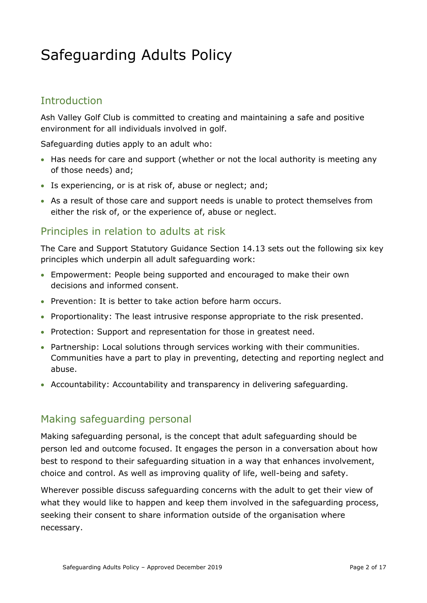## <span id="page-1-0"></span>Safeguarding Adults Policy

## <span id="page-1-1"></span>Introduction

Ash Valley Golf Club is committed to creating and maintaining a safe and positive environment for all individuals involved in golf.

Safeguarding duties apply to an adult who:

- Has needs for care and support (whether or not the local authority is meeting any of those needs) and;
- Is experiencing, or is at risk of, abuse or neglect; and;
- As a result of those care and support needs is unable to protect themselves from either the risk of, or the experience of, abuse or neglect.

## <span id="page-1-2"></span>Principles in relation to adults at risk

The Care and Support Statutory Guidance Section 14.13 sets out the following six key principles which underpin all adult safeguarding work:

- Empowerment: People being supported and encouraged to make their own decisions and informed consent.
- Prevention: It is better to take action before harm occurs.
- Proportionality: The least intrusive response appropriate to the risk presented.
- Protection: Support and representation for those in greatest need.
- Partnership: Local solutions through services working with their communities. Communities have a part to play in preventing, detecting and reporting neglect and abuse.
- Accountability: Accountability and transparency in delivering safeguarding.

#### <span id="page-1-3"></span>Making safeguarding personal

Making safeguarding personal, is the concept that adult safeguarding should be person led and outcome focused. It engages the person in a conversation about how best to respond to their safeguarding situation in a way that enhances involvement, choice and control. As well as improving quality of life, well-being and safety.

Wherever possible discuss safeguarding concerns with the adult to get their view of what they would like to happen and keep them involved in the safeguarding process, seeking their consent to share information outside of the organisation where necessary.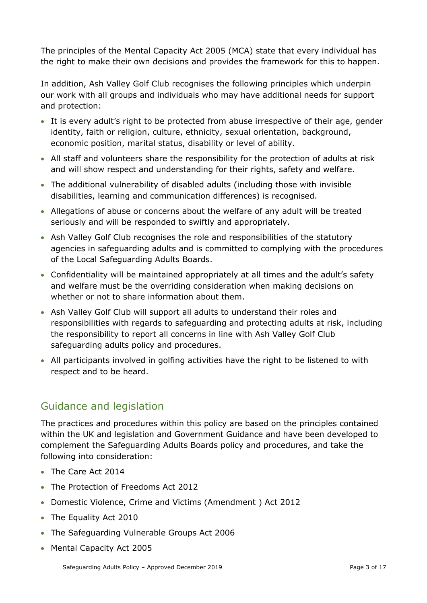The principles of the Mental Capacity Act 2005 (MCA) state that every individual has the right to make their own decisions and provides the framework for this to happen.

In addition, Ash Valley Golf Club recognises the following principles which underpin our work with all groups and individuals who may have additional needs for support and protection:

- It is every adult's right to be protected from abuse irrespective of their age, gender identity, faith or religion, culture, ethnicity, sexual orientation, background, economic position, marital status, disability or level of ability.
- All staff and volunteers share the responsibility for the protection of adults at risk and will show respect and understanding for their rights, safety and welfare.
- The additional vulnerability of disabled adults (including those with invisible disabilities, learning and communication differences) is recognised.
- Allegations of abuse or concerns about the welfare of any adult will be treated seriously and will be responded to swiftly and appropriately.
- Ash Valley Golf Club recognises the role and responsibilities of the statutory agencies in safeguarding adults and is committed to complying with the procedures of the Local Safeguarding Adults Boards.
- Confidentiality will be maintained appropriately at all times and the adult's safety and welfare must be the overriding consideration when making decisions on whether or not to share information about them.
- Ash Valley Golf Club will support all adults to understand their roles and responsibilities with regards to safeguarding and protecting adults at risk, including the responsibility to report all concerns in line with Ash Valley Golf Club safeguarding adults policy and procedures.
- All participants involved in golfing activities have the right to be listened to with respect and to be heard.

## <span id="page-2-0"></span>Guidance and legislation

The practices and procedures within this policy are based on the principles contained within the UK and legislation and Government Guidance and have been developed to complement the Safeguarding Adults Boards policy and procedures, and take the following into consideration:

- The Care Act 2014
- The Protection of Freedoms Act 2012
- Domestic Violence, Crime and Victims (Amendment ) Act 2012
- The Equality Act 2010
- The Safeguarding Vulnerable Groups Act 2006
- Mental Capacity Act 2005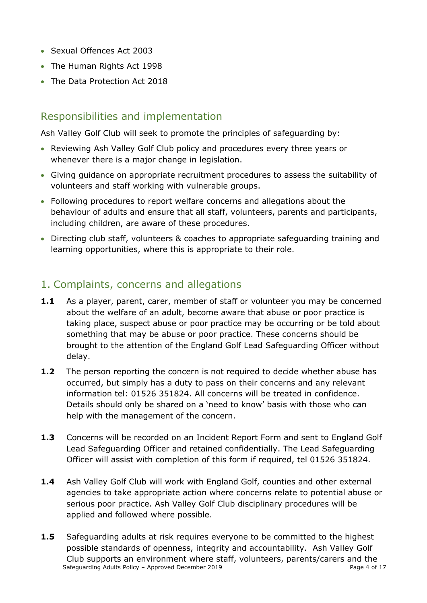- Sexual Offences Act 2003
- The Human Rights Act 1998
- The Data Protection Act 2018

## <span id="page-3-0"></span>Responsibilities and implementation

Ash Valley Golf Club will seek to promote the principles of safeguarding by:

- Reviewing Ash Valley Golf Club policy and procedures every three years or whenever there is a major change in legislation.
- Giving guidance on appropriate recruitment procedures to assess the suitability of volunteers and staff working with vulnerable groups.
- Following procedures to report welfare concerns and allegations about the behaviour of adults and ensure that all staff, volunteers, parents and participants, including children, are aware of these procedures.
- Directing club staff, volunteers & coaches to appropriate safeguarding training and learning opportunities, where this is appropriate to their role.

## <span id="page-3-1"></span>1. Complaints, concerns and allegations

- **1.1** As a player, parent, carer, member of staff or volunteer you may be concerned about the welfare of an adult, become aware that abuse or poor practice is taking place, suspect abuse or poor practice may be occurring or be told about something that may be abuse or poor practice. These concerns should be brought to the attention of the England Golf Lead Safeguarding Officer without delay.
- **1.2** The person reporting the concern is not required to decide whether abuse has occurred, but simply has a duty to pass on their concerns and any relevant information tel: 01526 351824. All concerns will be treated in confidence. Details should only be shared on a 'need to know' basis with those who can help with the management of the concern.
- **1.3** Concerns will be recorded on an Incident Report Form and sent to England Golf Lead Safeguarding Officer and retained confidentially. The Lead Safeguarding Officer will assist with completion of this form if required, tel 01526 351824.
- **1.4** Ash Valley Golf Club will work with England Golf, counties and other external agencies to take appropriate action where concerns relate to potential abuse or serious poor practice. Ash Valley Golf Club disciplinary procedures will be applied and followed where possible.
- Safeguarding Adults Policy Approved December 2019 Page 4 of 17 **1.5** Safeguarding adults at risk requires everyone to be committed to the highest possible standards of openness, integrity and accountability. Ash Valley Golf Club supports an environment where staff, volunteers, parents/carers and the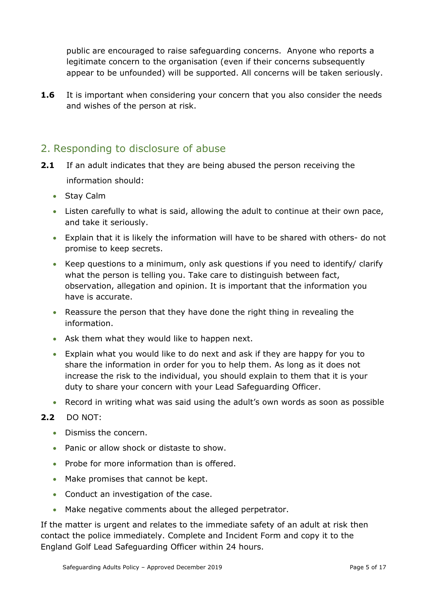public are encouraged to raise safeguarding concerns. Anyone who reports a legitimate concern to the organisation (even if their concerns subsequently appear to be unfounded) will be supported. All concerns will be taken seriously.

**1.6** It is important when considering your concern that you also consider the needs and wishes of the person at risk.

## <span id="page-4-0"></span>2. Responding to disclosure of abuse

- **2.1** If an adult indicates that they are being abused the person receiving the information should:
	- Stay Calm
	- Listen carefully to what is said, allowing the adult to continue at their own pace, and take it seriously.
	- Explain that it is likely the information will have to be shared with others- do not promise to keep secrets.
	- Keep questions to a minimum, only ask questions if you need to identify/ clarify what the person is telling you. Take care to distinguish between fact, observation, allegation and opinion. It is important that the information you have is accurate.
	- Reassure the person that they have done the right thing in revealing the information.
	- Ask them what they would like to happen next.
	- Explain what you would like to do next and ask if they are happy for you to share the information in order for you to help them. As long as it does not increase the risk to the individual, you should explain to them that it is your duty to share your concern with your Lead Safeguarding Officer.
	- Record in writing what was said using the adult's own words as soon as possible

#### **2.2** DO NOT:

- Dismiss the concern.
- Panic or allow shock or distaste to show.
- Probe for more information than is offered.
- Make promises that cannot be kept.
- Conduct an investigation of the case.
- Make negative comments about the alleged perpetrator.

If the matter is urgent and relates to the immediate safety of an adult at risk then contact the police immediately. Complete and Incident Form and copy it to the England Golf Lead Safeguarding Officer within 24 hours.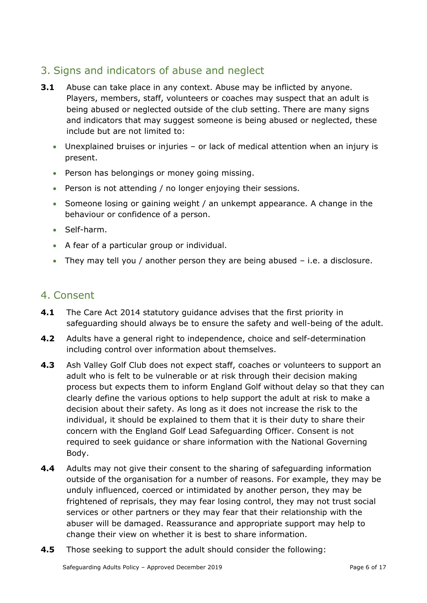## <span id="page-5-0"></span>3. Signs and indicators of abuse and neglect

- **3.1** Abuse can take place in any context. Abuse may be inflicted by anyone. Players, members, staff, volunteers or coaches may suspect that an adult is being abused or neglected outside of the club setting. There are many signs and indicators that may suggest someone is being abused or neglected, these include but are not limited to:
	- Unexplained bruises or injuries or lack of medical attention when an injury is present.
	- Person has belongings or money going missing.
	- Person is not attending / no longer enjoying their sessions.
	- Someone losing or gaining weight / an unkempt appearance. A change in the behaviour or confidence of a person.
	- Self-harm.
	- A fear of a particular group or individual.
	- They may tell you / another person they are being abused i.e. a disclosure.

## <span id="page-5-1"></span>4. Consent

- **4.1** The Care Act 2014 statutory guidance advises that the first priority in safeguarding should always be to ensure the safety and well-being of the adult.
- **4.2** Adults have a general right to independence, choice and self-determination including control over information about themselves.
- **4.3** Ash Valley Golf Club does not expect staff, coaches or volunteers to support an adult who is felt to be vulnerable or at risk through their decision making process but expects them to inform England Golf without delay so that they can clearly define the various options to help support the adult at risk to make a decision about their safety. As long as it does not increase the risk to the individual, it should be explained to them that it is their duty to share their concern with the England Golf Lead Safeguarding Officer. Consent is not required to seek guidance or share information with the National Governing Body.
- **4.4** Adults may not give their consent to the sharing of safeguarding information outside of the organisation for a number of reasons. For example, they may be unduly influenced, coerced or intimidated by another person, they may be frightened of reprisals, they may fear losing control, they may not trust social services or other partners or they may fear that their relationship with the abuser will be damaged. Reassurance and appropriate support may help to change their view on whether it is best to share information.
- **4.5** Those seeking to support the adult should consider the following: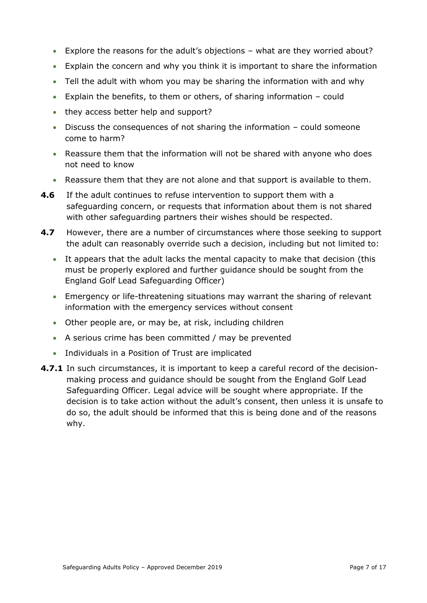- Explore the reasons for the adult's objections what are they worried about?
- Explain the concern and why you think it is important to share the information
- Tell the adult with whom you may be sharing the information with and why
- Explain the benefits, to them or others, of sharing information could
- they access better help and support?
- Discuss the consequences of not sharing the information could someone come to harm?
- Reassure them that the information will not be shared with anyone who does not need to know
- Reassure them that they are not alone and that support is available to them.
- **4.6** If the adult continues to refuse intervention to support them with a safeguarding concern, or requests that information about them is not shared with other safeguarding partners their wishes should be respected.
- **4.7** However, there are a number of circumstances where those seeking to support the adult can reasonably override such a decision, including but not limited to:
	- It appears that the adult lacks the mental capacity to make that decision (this must be properly explored and further guidance should be sought from the England Golf Lead Safeguarding Officer)
	- Emergency or life-threatening situations may warrant the sharing of relevant information with the emergency services without consent
	- Other people are, or may be, at risk, including children
	- A serious crime has been committed / may be prevented
	- Individuals in a Position of Trust are implicated
- **4.7.1** In such circumstances, it is important to keep a careful record of the decisionmaking process and guidance should be sought from the England Golf Lead Safeguarding Officer. Legal advice will be sought where appropriate. If the decision is to take action without the adult's consent, then unless it is unsafe to do so, the adult should be informed that this is being done and of the reasons why.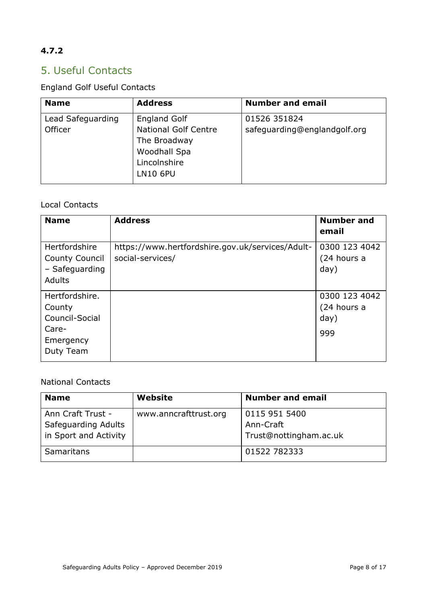## **4.7.2**

## <span id="page-7-0"></span>5. Useful Contacts

## England Golf Useful Contacts

| <b>Name</b>       | <b>Address</b>                                                                                 | <b>Number and email</b>      |
|-------------------|------------------------------------------------------------------------------------------------|------------------------------|
| Lead Safeguarding | <b>England Golf</b>                                                                            | 01526 351824                 |
| Officer           | <b>National Golf Centre</b><br>The Broadway<br>Woodhall Spa<br>Lincolnshire<br><b>LN10 6PU</b> | safeguarding@englandgolf.org |

#### Local Contacts

| <b>Name</b>           | <b>Address</b>                                   | <b>Number and</b><br>email |
|-----------------------|--------------------------------------------------|----------------------------|
| Hertfordshire         | https://www.hertfordshire.gov.uk/services/Adult- | 0300 123 4042              |
| <b>County Council</b> | social-services/                                 | (24 hours a                |
| - Safeguarding        |                                                  | day)                       |
| <b>Adults</b>         |                                                  |                            |
| Hertfordshire.        |                                                  | 0300 123 4042              |
| County                |                                                  | (24 hours a                |
| Council-Social        |                                                  | day)                       |
| Care-                 |                                                  | 999                        |
| Emergency             |                                                  |                            |
| Duty Team             |                                                  |                            |

#### National Contacts

| <b>Name</b>           | Website               | <b>Number and email</b> |
|-----------------------|-----------------------|-------------------------|
| Ann Craft Trust -     | www.anncrafttrust.org | 0115 951 5400           |
| Safeguarding Adults   |                       | Ann-Craft               |
| in Sport and Activity |                       | Trust@nottingham.ac.uk  |
| <b>Samaritans</b>     |                       | 01522 782333            |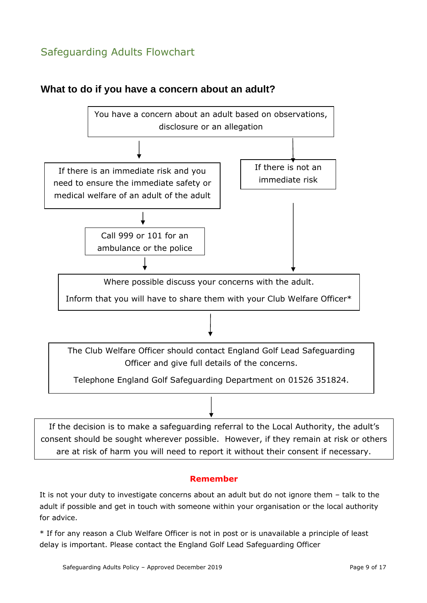## <span id="page-8-0"></span>Safeguarding Adults Flowchart



#### **What to do if you have a concern about an adult?**

If the decision is to make a safeguarding referral to the Local Authority, the adult's

consent should be sought wherever possible. However, if they remain at risk or others are at risk of harm you will need to report it without their consent if necessary.

#### **Remember**

It is not your duty to investigate concerns about an adult but do not ignore them – talk to the adult if possible and get in touch with someone within your organisation or the local authority for advice.

\* If for any reason a Club Welfare Officer is not in post or is unavailable a principle of least delay is important. Please contact the England Golf Lead Safeguarding Officer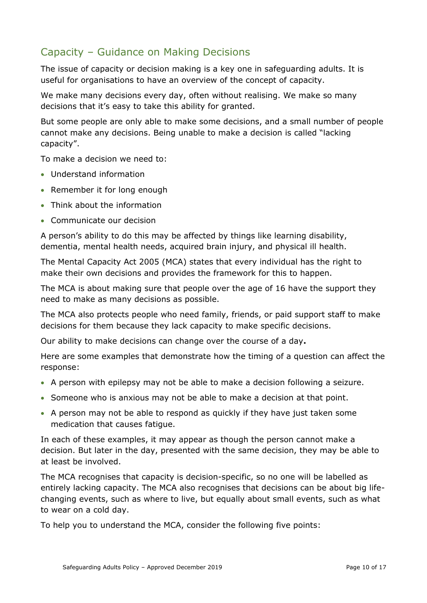## <span id="page-9-0"></span>Capacity – Guidance on Making Decisions

The issue of capacity or decision making is a key one in safeguarding adults. It is useful for organisations to have an overview of the concept of capacity.

We make many decisions every day, often without realising. We make so many decisions that it's easy to take this ability for granted.

But some people are only able to make some decisions, and a small number of people cannot make any decisions. Being unable to make a decision is called "lacking capacity".

To make a decision we need to:

- Understand information
- Remember it for long enough
- Think about the information
- Communicate our decision

A person's ability to do this may be affected by things like learning disability, dementia, mental health needs, acquired brain injury, and physical ill health.

The Mental Capacity Act 2005 (MCA) states that every individual has the right to make their own decisions and provides the framework for this to happen.

The MCA is about making sure that people over the age of 16 have the support they need to make as many decisions as possible.

The MCA also protects people who need family, friends, or paid support staff to make decisions for them because they lack capacity to make specific decisions.

Our ability to make decisions can change over the course of a day**.**

Here are some examples that demonstrate how the timing of a question can affect the response:

- A person with epilepsy may not be able to make a decision following a seizure.
- Someone who is anxious may not be able to make a decision at that point.
- A person may not be able to respond as quickly if they have just taken some medication that causes fatigue.

In each of these examples, it may appear as though the person cannot make a decision. But later in the day, presented with the same decision, they may be able to at least be involved.

The MCA recognises that capacity is decision-specific, so no one will be labelled as entirely lacking capacity. The MCA also recognises that decisions can be about big lifechanging events, such as where to live, but equally about small events, such as what to wear on a cold day.

To help you to understand the MCA, consider the following five points: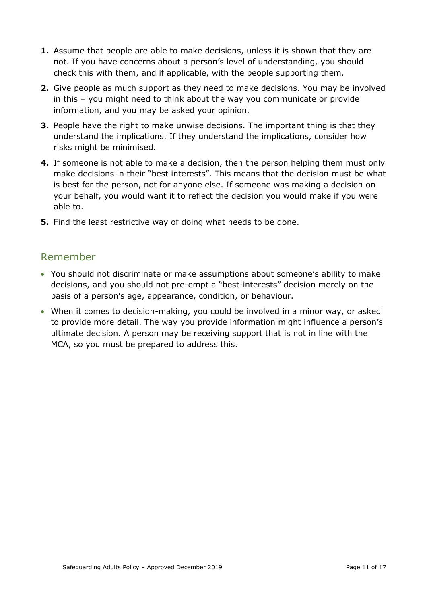- **1.** Assume that people are able to make decisions, unless it is shown that they are not. If you have concerns about a person's level of understanding, you should check this with them, and if applicable, with the people supporting them.
- **2.** Give people as much support as they need to make decisions. You may be involved in this – you might need to think about the way you communicate or provide information, and you may be asked your opinion.
- **3.** People have the right to make unwise decisions. The important thing is that they understand the implications. If they understand the implications, consider how risks might be minimised.
- **4.** If someone is not able to make a decision, then the person helping them must only make decisions in their "best interests". This means that the decision must be what is best for the person, not for anyone else. If someone was making a decision on your behalf, you would want it to reflect the decision you would make if you were able to.
- **5.** Find the least restrictive way of doing what needs to be done.

## <span id="page-10-0"></span>Remember

- You should not discriminate or make assumptions about someone's ability to make decisions, and you should not pre-empt a "best-interests" decision merely on the basis of a person's age, appearance, condition, or behaviour.
- When it comes to decision-making, you could be involved in a minor way, or asked to provide more detail. The way you provide information might influence a person's ultimate decision. A person may be receiving support that is not in line with the MCA, so you must be prepared to address this.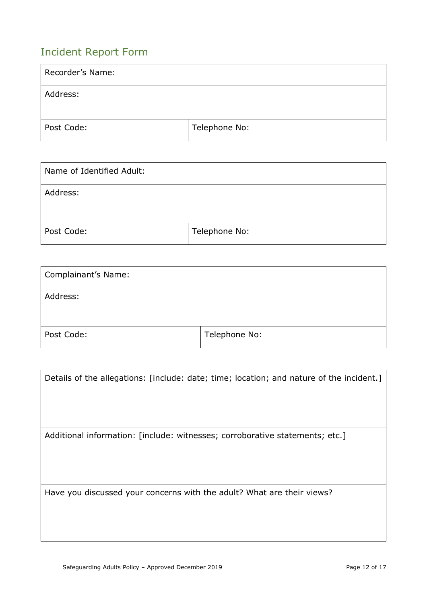## <span id="page-11-0"></span>Incident Report Form

| Recorder's Name: |               |
|------------------|---------------|
| Address:         |               |
| Post Code:       | Telephone No: |

| Name of Identified Adult: |               |
|---------------------------|---------------|
| Address:                  |               |
| Post Code:                | Telephone No: |

| <b>Complainant's Name:</b> |               |
|----------------------------|---------------|
| Address:                   |               |
| Post Code:                 | Telephone No: |

| Details of the allegations: [include: date; time; location; and nature of the incident.] |
|------------------------------------------------------------------------------------------|
| Additional information: [include: witnesses; corroborative statements; etc.]             |
| Have you discussed your concerns with the adult? What are their views?                   |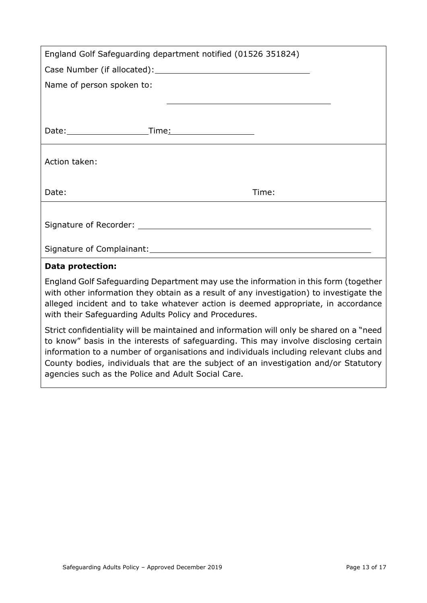| England Golf Safeguarding department notified (01526 351824)                                                                                                                                                                                                                                                                 |
|------------------------------------------------------------------------------------------------------------------------------------------------------------------------------------------------------------------------------------------------------------------------------------------------------------------------------|
|                                                                                                                                                                                                                                                                                                                              |
| Name of person spoken to:                                                                                                                                                                                                                                                                                                    |
|                                                                                                                                                                                                                                                                                                                              |
|                                                                                                                                                                                                                                                                                                                              |
|                                                                                                                                                                                                                                                                                                                              |
| Action taken:                                                                                                                                                                                                                                                                                                                |
| Date:<br>Time:                                                                                                                                                                                                                                                                                                               |
|                                                                                                                                                                                                                                                                                                                              |
|                                                                                                                                                                                                                                                                                                                              |
|                                                                                                                                                                                                                                                                                                                              |
| <b>Data protection:</b>                                                                                                                                                                                                                                                                                                      |
| England Golf Safeguarding Department may use the information in this form (together<br>with other information they obtain as a result of any investigation) to investigate the<br>alleged incident and to take whatever action is deemed appropriate, in accordance<br>with their Safeguarding Adults Policy and Procedures. |

Strict confidentiality will be maintained and information will only be shared on a "need to know" basis in the interests of safeguarding. This may involve disclosing certain information to a number of organisations and individuals including relevant clubs and County bodies, individuals that are the subject of an investigation and/or Statutory agencies such as the Police and Adult Social Care.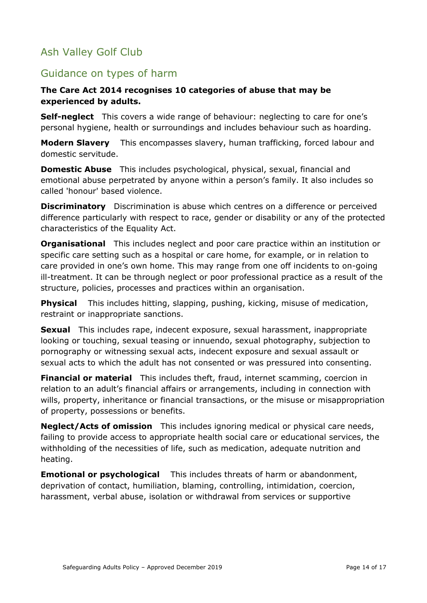## Ash Valley Golf Club

## <span id="page-13-0"></span>Guidance on types of harm

#### **The Care Act 2014 recognises 10 categories of abuse that may be experienced by adults.**

**Self-neglect** This covers a wide range of behaviour: neglecting to care for one's personal hygiene, health or surroundings and includes behaviour such as hoarding.

**Modern Slavery** This encompasses slavery, human trafficking, forced labour and domestic servitude.

**Domestic Abuse** This includes psychological, physical, sexual, financial and emotional abuse perpetrated by anyone within a person's family. It also includes so called 'honour' based violence.

**Discriminatory** Discrimination is abuse which centres on a difference or perceived difference particularly with respect to race, gender or disability or any of the protected characteristics of the Equality Act.

**Organisational** This includes neglect and poor care practice within an institution or specific care setting such as a hospital or care home, for example, or in relation to care provided in one's own home. This may range from one off incidents to on-going ill-treatment. It can be through neglect or poor professional practice as a result of the structure, policies, processes and practices within an organisation.

**Physical** This includes hitting, slapping, pushing, kicking, misuse of medication, restraint or inappropriate sanctions.

**Sexual** This includes rape, indecent exposure, sexual harassment, inappropriate looking or touching, sexual teasing or innuendo, sexual photography, subjection to pornography or witnessing sexual acts, indecent exposure and sexual assault or sexual acts to which the adult has not consented or was pressured into consenting.

**Financial or material** This includes theft, fraud, internet scamming, coercion in relation to an adult's financial affairs or arrangements, including in connection with wills, property, inheritance or financial transactions, or the misuse or misappropriation of property, possessions or benefits.

**Neglect/Acts of omission** This includes ignoring medical or physical care needs, failing to provide access to appropriate health social care or educational services, the withholding of the necessities of life, such as medication, adequate nutrition and heating.

**Emotional or psychological** This includes threats of harm or abandonment, deprivation of contact, humiliation, blaming, controlling, intimidation, coercion, harassment, verbal abuse, isolation or withdrawal from services or supportive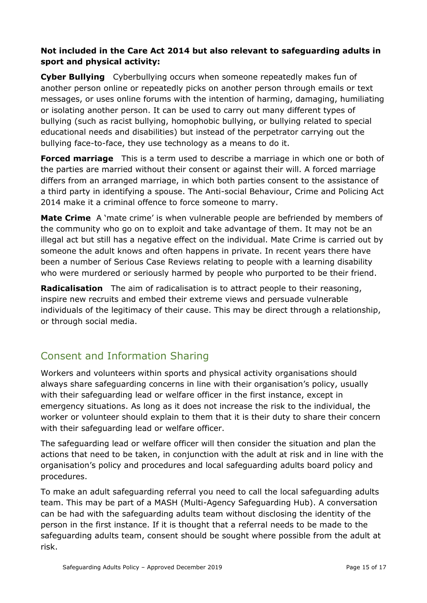#### **Not included in the Care Act 2014 but also relevant to safeguarding adults in sport and physical activity:**

**Cyber Bullying** Cyberbullying occurs when someone repeatedly makes fun of another person online or repeatedly picks on another person through emails or text messages, or uses online forums with the intention of harming, damaging, humiliating or isolating another person. It can be used to carry out many different types of bullying (such as racist bullying, homophobic bullying, or bullying related to special educational needs and disabilities) but instead of the perpetrator carrying out the bullying face-to-face, they use technology as a means to do it.

**Forced marriage** This is a term used to describe a marriage in which one or both of the parties are married without their consent or against their will. A forced marriage differs from an arranged marriage, in which both parties consent to the assistance of a third party in identifying a spouse. The Anti-social Behaviour, Crime and Policing Act 2014 make it a criminal offence to force someone to marry.

**Mate Crime** A 'mate crime' is when vulnerable people are befriended by members of the community who go on to exploit and take advantage of them. It may not be an illegal act but still has a negative effect on the individual. Mate Crime is carried out by someone the adult knows and often happens in private. In recent years there have been a number of Serious Case Reviews relating to people with a learning disability who were murdered or seriously harmed by people who purported to be their friend.

**Radicalisation** The aim of radicalisation is to attract people to their reasoning, inspire new recruits and embed their extreme views and persuade vulnerable individuals of the legitimacy of their cause. This may be direct through a relationship, or through social media.

## <span id="page-14-0"></span>Consent and Information Sharing

Workers and volunteers within sports and physical activity organisations should always share safeguarding concerns in line with their organisation's policy, usually with their safeguarding lead or welfare officer in the first instance, except in emergency situations. As long as it does not increase the risk to the individual, the worker or volunteer should explain to them that it is their duty to share their concern with their safeguarding lead or welfare officer.

The safeguarding lead or welfare officer will then consider the situation and plan the actions that need to be taken, in conjunction with the adult at risk and in line with the organisation's policy and procedures and local safeguarding adults board policy and procedures.

To make an adult safeguarding referral you need to call the local safeguarding adults team. This may be part of a MASH (Multi*-*Agency Safeguarding Hub). A conversation can be had with the safeguarding adults team without disclosing the identity of the person in the first instance. If it is thought that a referral needs to be made to the safeguarding adults team, consent should be sought where possible from the adult at risk.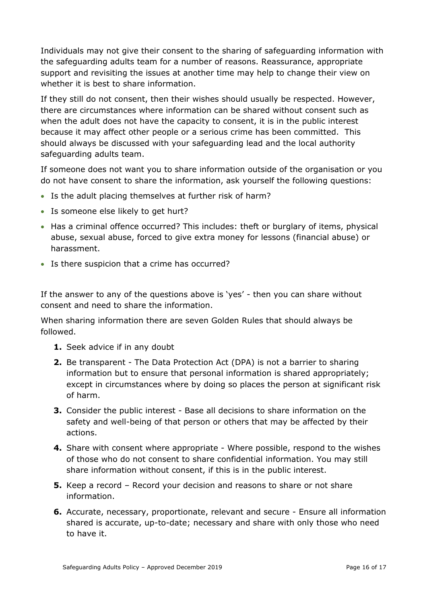Individuals may not give their consent to the sharing of safeguarding information with the safeguarding adults team for a number of reasons. Reassurance, appropriate support and revisiting the issues at another time may help to change their view on whether it is best to share information.

If they still do not consent, then their wishes should usually be respected. However, there are circumstances where information can be shared without consent such as when the adult does not have the capacity to consent, it is in the public interest because it may affect other people or a serious crime has been committed. This should always be discussed with your safeguarding lead and the local authority safeguarding adults team.

If someone does not want you to share information outside of the organisation or you do not have consent to share the information, ask yourself the following questions:

- Is the adult placing themselves at further risk of harm?
- Is someone else likely to get hurt?
- Has a criminal offence occurred? This includes: theft or burglary of items, physical abuse, sexual abuse, forced to give extra money for lessons (financial abuse) or harassment.
- Is there suspicion that a crime has occurred?

If the answer to any of the questions above is 'yes' - then you can share without consent and need to share the information.

When sharing information there are seven Golden Rules that should always be followed.

- **1.** Seek advice if in any doubt
- **2.** Be transparent The Data Protection Act (DPA) is not a barrier to sharing information but to ensure that personal information is shared appropriately; except in circumstances where by doing so places the person at significant risk of harm.
- **3.** Consider the public interest Base all decisions to share information on the safety and well-being of that person or others that may be affected by their actions.
- **4.** Share with consent where appropriate Where possible, respond to the wishes of those who do not consent to share confidential information. You may still share information without consent, if this is in the public interest.
- **5.** Keep a record Record your decision and reasons to share or not share information.
- **6.** Accurate, necessary, proportionate, relevant and secure Ensure all information shared is accurate, up-to-date; necessary and share with only those who need to have it.